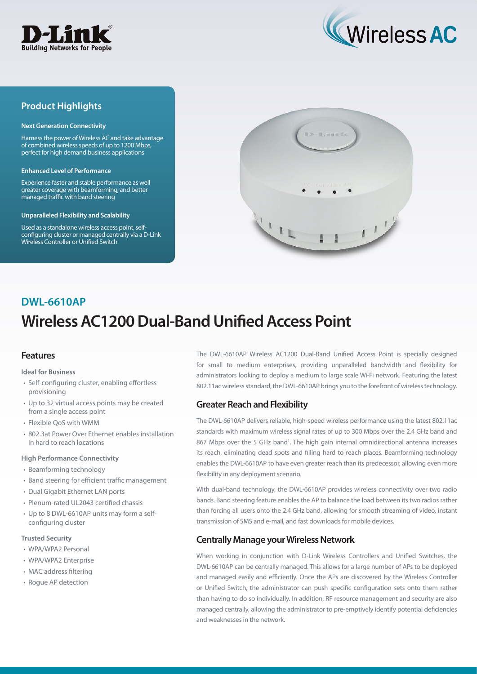



## **Product Highlights**

#### **Next Generation Connectivity**

Harness the power of Wireless AC and take advantage of combined wireless speeds of up to 1200 Mbps, perfect for high demand business applications

#### **Enhanced Level of Performance**

Experience faster and stable performance as well greater coverage with beamforming, and better managed traffic with band steering

#### **Unparalleled Flexibility and Scalability**

Used as a standalone wireless access point, selfconfiguring cluster or managed centrally via a D-Link Wireless Controller or Unified Switch



# **Wireless AC1200 Dual-Band Unified Access Point DWL-6610AP**

### **Features**

**Ideal for Business**

- Self-configuring cluster, enabling effortless provisioning
- Up to 32 virtual access points may be created from a single access point
- Flexible QoS with WMM
- 802.3at Power Over Ethernet enables installation in hard to reach locations

#### **High Performance Connectivity**

- Beamforming technology
- Band steering for efficient traffic management
- Dual Gigabit Ethernet LAN ports
- Plenum-rated UL2043 certified chassis
- Up to 8 DWL-6610AP units may form a selfconfiguring cluster

#### **Trusted Security**

- WPA/WPA2 Personal
- WPA/WPA2 Enterprise
- MAC address filtering
- Rogue AP detection

The DWL-6610AP Wireless AC1200 Dual-Band Unified Access Point is specially designed for small to medium enterprises, providing unparalleled bandwidth and flexibility for administrators looking to deploy a medium to large scale Wi-Fi network. Featuring the latest 802.11ac wireless standard, the DWL-6610AP brings you to the forefront of wireless technology.

### **Greater Reach and Flexibility**

The DWL-6610AP delivers reliable, high-speed wireless performance using the latest 802.11ac standards with maximum wireless signal rates of up to 300 Mbps over the 2.4 GHz band and 867 Mbps over the 5 GHz band<sup>1</sup>. The high gain internal omnidirectional antenna increases its reach, eliminating dead spots and filling hard to reach places. Beamforming technology enables the DWL-6610AP to have even greater reach than its predecessor, allowing even more flexibility in any deployment scenario.

With dual-band technology, the DWL-6610AP provides wireless connectivity over two radio bands. Band steering feature enables the AP to balance the load between its two radios rather than forcing all users onto the 2.4 GHz band, allowing for smooth streaming of video, instant transmission of SMS and e-mail, and fast downloads for mobile devices.

## **Centrally Manage your Wireless Network**

When working in conjunction with D-Link Wireless Controllers and Unified Switches, the DWL-6610AP can be centrally managed. This allows for a large number of APs to be deployed and managed easily and efficiently. Once the APs are discovered by the Wireless Controller or Unified Switch, the administrator can push specific configuration sets onto them rather than having to do so individually. In addition, RF resource management and security are also managed centrally, allowing the administrator to pre-emptively identify potential deficiencies and weaknesses in the network.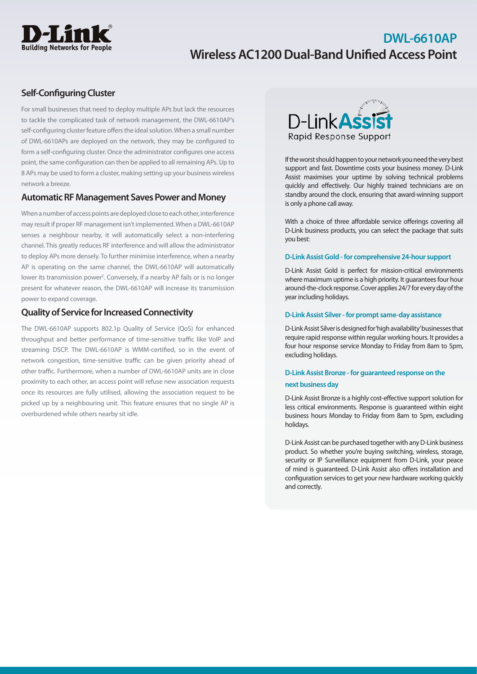

## **Self-Configuring Cluster**

For small businesses that need to deploy multiple APs but lack the resources to tackle the complicated task of network management, the DWL-6610AP's self-configuring cluster feature offers the ideal solution. When a small number of DWL-6610APs are deployed on the network, they may be configured to form a self-configuring cluster. Once the administrator configures one access point, the same configuration can then be applied to all remaining APs. Up to 8 APs may be used to form a cluster, making setting up your business wireless network a breeze.

### **Automatic RF Management Saves Power and Money**

When a number of access points are deployed close to each other, interference may result if proper RF management isn't implemented. When a DWL-6610AP senses a neighbour nearby, it will automatically select a non-interfering channel. This greatly reduces RF interference and will allow the administrator to deploy APs more densely. To further minimise interference, when a nearby AP is operating on the same channel, the DWL-6610AP will automatically lower its transmission power<sup>2</sup>. Conversely, if a nearby AP fails or is no longer present for whatever reason, the DWL-6610AP will increase its transmission power to expand coverage.

## **Quality of Service for Increased Connectivity**

The DWL-6610AP supports 802.1p Quality of Service (QoS) for enhanced throughput and better performance of time-sensitive traffic like VoIP and streaming DSCP. The DWL-6610AP is WMM-certified, so in the event of network congestion, time-sensitive traffic can be given priority ahead of other traffic. Furthermore, when a number of DWL-6610AP units are in close proximity to each other, an access point will refuse new association requests once its resources are fully utilised, allowing the association request to be picked up by a neighbouring unit. This feature ensures that no single AP is overburdened while others nearby sit idle.



If the worst should happen to your network you need the very best support and fast. Downtime costs your business money. D-Link Assist maximises your uptime by solving technical problems quickly and effectively. Our highly trained technicians are on standby around the clock, ensuring that award-winning support is only a phone call away.

With a choice of three affordable service offerings covering all D-Link business products, you can select the package that suits you best:

#### **D-Link Assist Gold - for comprehensive 24-hour support**

D-Link Assist Gold is perfect for mission-critical environments where maximum uptime is a high priority. It guarantees four hour around-the-clock response. Cover applies 24/7 for every day of the year including holidays.

#### **D-Link Assist Silver - for prompt same-day assistance**

D-Link Assist Silver is designed for 'high availability' businesses that require rapid response within regular working hours. It provides a four hour response service Monday to Friday from 8am to 5pm, excluding holidays.

### **D-Link Assist Bronze - for guaranteed response on the next business day**

D-Link Assist Bronze is a highly cost-effective support solution for less critical environments. Response is guaranteed within eight business hours Monday to Friday from 8am to 5pm, excluding holidays.

D-Link Assist can be purchased together with any D-Link business product. So whether you're buying switching, wireless, storage, security or IP Surveillance equipment from D-Link, your peace of mind is guaranteed. D-Link Assist also offers installation and configuration services to get your new hardware working quickly and correctly.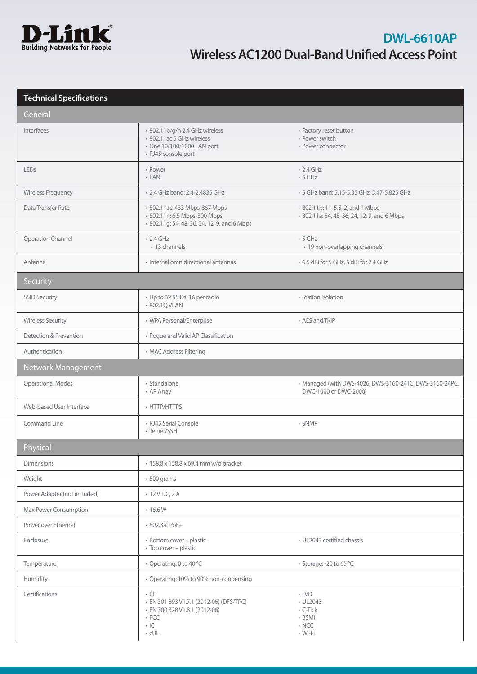

## **Technical Specifications**

| General                      |                                                                                                                                    |                                                                                   |
|------------------------------|------------------------------------------------------------------------------------------------------------------------------------|-----------------------------------------------------------------------------------|
| Interfaces                   | · 802.11b/g/n 2.4 GHz wireless<br>• 802.11ac 5 GHz wireless<br>• One 10/100/1000 LAN port<br>· RJ45 console port                   | • Factory reset button<br>• Power switch<br>• Power connector                     |
| LEDs                         | • Power<br>$-LAN$                                                                                                                  | $\cdot$ 2.4 GHz<br>$\cdot$ 5 GHz                                                  |
| Wireless Frequency           | • 2.4 GHz band: 2.4-2.4835 GHz                                                                                                     | • 5 GHz band: 5.15-5.35 GHz, 5.47-5.825 GHz                                       |
| Data Transfer Rate           | • 802.11ac: 433 Mbps-867 Mbps<br>· 802.11n: 6.5 Mbps-300 Mbps<br>· 802.11g: 54, 48, 36, 24, 12, 9, and 6 Mbps                      | • 802.11b: 11, 5.5, 2, and 1 Mbps<br>· 802.11a: 54, 48, 36, 24, 12, 9, and 6 Mbps |
| Operation Channel            | $\cdot$ 2.4 GHz<br>• 13 channels                                                                                                   | $-5$ GHz<br>• 19 non-overlapping channels                                         |
| Antenna                      | · Internal omnidirectional antennas                                                                                                | • 6.5 dBi for 5 GHz, 5 dBi for 2.4 GHz                                            |
| Security                     |                                                                                                                                    |                                                                                   |
| <b>SSID Security</b>         | • Up to 32 SSIDs, 16 per radio<br>• 802.1Q VLAN                                                                                    | • Station Isolation                                                               |
| <b>Wireless Security</b>     | • WPA Personal/Enterprise                                                                                                          | • AES and TKIP                                                                    |
| Detection & Prevention       | • Rogue and Valid AP Classification                                                                                                |                                                                                   |
| Authentication               | • MAC Address Filtering                                                                                                            |                                                                                   |
| Network Management           |                                                                                                                                    |                                                                                   |
| <b>Operational Modes</b>     | • Standalone<br>• AP Array                                                                                                         | • Managed (with DWS-4026, DWS-3160-24TC, DWS-3160-24PC,<br>DWC-1000 or DWC-2000)  |
| Web-based User Interface     | • HTTP/HTTPS                                                                                                                       |                                                                                   |
| Command Line                 | • RJ45 Serial Console<br>• Telnet/SSH                                                                                              | • SNMP                                                                            |
| Physical                     |                                                                                                                                    |                                                                                   |
| <b>Dimensions</b>            | • 158.8 x 158.8 x 69.4 mm w/o bracket                                                                                              |                                                                                   |
| Weight                       | $\cdot$ 500 grams                                                                                                                  |                                                                                   |
| Power Adapter (not included) | $\cdot$ 12 V DC, 2 A                                                                                                               |                                                                                   |
| Max Power Consumption        | .16.6W                                                                                                                             |                                                                                   |
| Power over Ethernet          | • 802.3at PoE+                                                                                                                     |                                                                                   |
| Enclosure                    | · Bottom cover - plastic<br>• Top cover - plastic                                                                                  | • UL2043 certified chassis                                                        |
| Temperature                  | • Operating: 0 to 40 °C                                                                                                            | • Storage: -20 to 65 °C                                                           |
| Humidity                     | • Operating: 10% to 90% non-condensing                                                                                             |                                                                                   |
| Certifications               | $\cdot$ CE<br>· EN 301 893 V1.7.1 (2012-06) (DFS/TPC)<br>· EN 300 328 V1.8.1 (2012-06)<br>$\cdot$ FCC<br>$\cdot$ IC<br>$\cdot$ cUL | $\cdot$ LVD<br>• UL2043<br>• C-Tick<br>• BSMI<br>$\cdot$ NCC<br>• Wi-Fi           |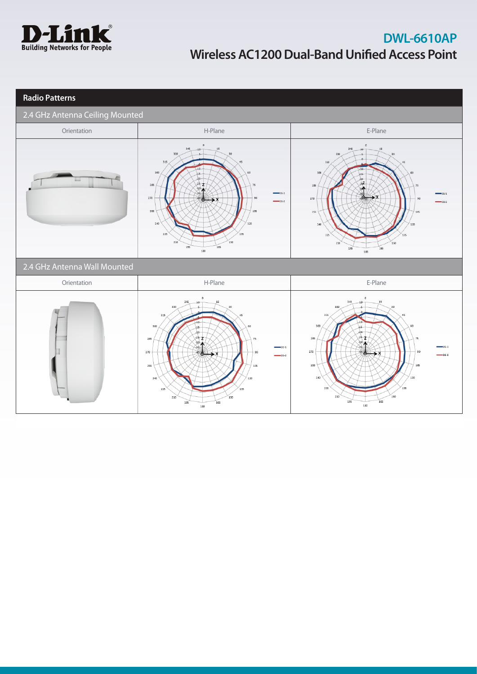

| <b>Radio Patterns</b>           |                                                                                                                                                                                                                                                              |                                                                                                                                                                                                       |
|---------------------------------|--------------------------------------------------------------------------------------------------------------------------------------------------------------------------------------------------------------------------------------------------------------|-------------------------------------------------------------------------------------------------------------------------------------------------------------------------------------------------------|
| 2.4 GHz Antenna Ceiling Mounted |                                                                                                                                                                                                                                                              |                                                                                                                                                                                                       |
| Orientation                     | H-Plane                                                                                                                                                                                                                                                      | E-Plane                                                                                                                                                                                               |
|                                 | $\circ$<br>345<br>15<br>16<br>330<br>315<br>45<br>300<br>60<br>$45 -$<br>$-20$<br>257<br>285<br>75<br>$98 -$<br>$\longrightarrow$ 2G-1<br>270<br>90<br>$2G-2$<br>255<br>105<br>240<br>120<br>225<br>135<br>210<br>150<br>195<br>165<br>180                   | $\circ$<br>345<br>15<br>10<br>330<br>315<br>$-10-$<br>300<br>d.<br>25<br>285<br>75<br>$-26 - 1$<br>270<br>255<br>105<br>240<br>225<br>150<br>210<br>165<br>195<br>180                                 |
| 2.4 GHz Antenna Wall Mounted    |                                                                                                                                                                                                                                                              |                                                                                                                                                                                                       |
| Orientation                     | H-Plane                                                                                                                                                                                                                                                      | E-Plane                                                                                                                                                                                               |
|                                 | $\circ$<br>345<br>15<br>$10 -$<br>330<br>315<br>45<br>$-10$<br>300<br>ļ15.<br>60<br>$-20$<br>257<br>285<br>75<br>$\mathcal{P}^{\mathcal{P}}$<br>$-2G-1$<br>270<br>90<br>$-2G-2$<br>255<br>105<br>240<br>120<br>225<br>135<br>150<br>210<br>195<br>165<br>180 | $\circ$<br>345<br>15<br>330<br>30<br>315<br>300<br>60<br>ls.<br>$-20$<br>$-25 - 7$<br>285<br>75<br>270<br>90<br>$76 - 7$<br>255<br>105<br>240<br>120<br>225<br>135<br>150<br>210<br>195<br>165<br>180 |